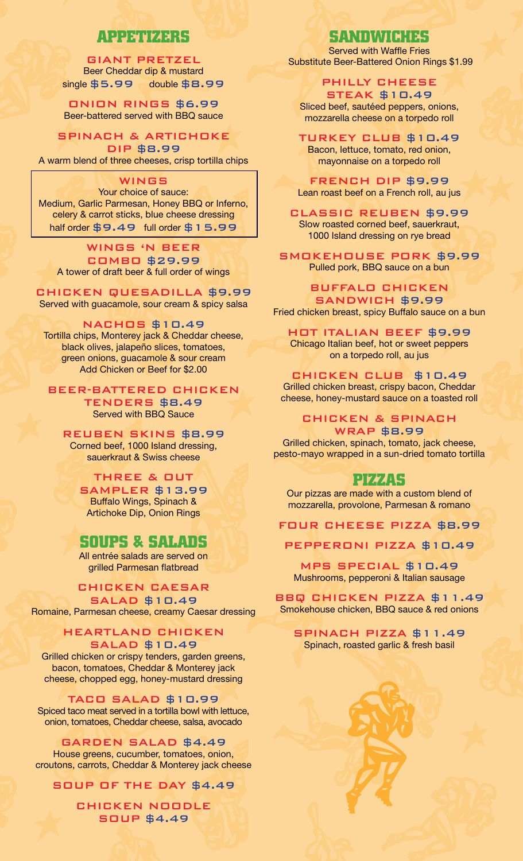# APPETIZERS

### Giant Pretzel Beer Cheddar dip & mustard single  $$5.99$  double  $$8.99$

Onion Rings \$6.99 Beer-battered served with BBQ sauce

Spinach & Artichoke

Dip \$8.99 A warm blend of three cheeses, crisp tortilla chips

### **WINGS**

Your choice of sauce: Medium, Garlic Parmesan, Honey BBQ or Inferno, celery & carrot sticks, blue cheese dressing half order  $$9.49$  full order  $$15.99$ 

#### Wings 'N Beer Combo \$29.99

A tower of draft beer & full order of wings

### Chicken Quesadilla \$9.99

Served with guacamole, sour cream & spicy salsa

### Nachos \$10.49

Tortilla chips, Monterey jack & Cheddar cheese, black olives, jalapeño slices, tomatoes, green onions, guacamole & sour cream Add Chicken or Beef for \$2.00

### Beer-Battered Chicken

Tenders \$8.49 Served with BBQ Sauce

### REUBEN SKINS \$8.99

Corned beef, 1000 Island dressing, sauerkraut & Swiss cheese

### THREE & OUT

SAMPLER \$13.99 Buffalo Wings, Spinach & Artichoke Dip, Onion Rings

# SOUPS & SALADS

All entrée salads are served on grilled Parmesan flatbread

### Chicken Caesar Salad \$10.49

Romaine, Parmesan cheese, creamy Caesar dressing

HEARTLAND CHICKEN SALAD \$10.49 Grilled chicken or crispy tenders, garden greens,

bacon, tomatoes, Cheddar & Monterey jack cheese, chopped egg, honey-mustard dressing

TACO SALAD \$10.99 Spiced taco meat served in a tortilla bowl with lettuce, onion, tomatoes, Cheddar cheese, salsa, avocado

Garden Salad \$4.49 House greens, cucumber, tomatoes, onion, croutons, carrots, Cheddar & Monterey jack cheese

Soup Of The Day \$4.49

Chicken Noodle Soup \$4.49

# SANDWAN SANDWICHES

Served with Waffle Fries Substitute Beer-Battered Onion Rings \$1.99

Philly Cheese Steak \$10.49 Sliced beef, sautéed peppers, onions, mozzarella cheese on a torpedo roll

Turkey Club \$10.49 Bacon, lettuce, tomato, red onion, mayonnaise on a torpedo roll

French Dip \$9.99 Lean roast beef on a French roll, au jus

CLASSIC REUBEN \$9.99 Slow roasted corned beef, sauerkraut, 1000 Island dressing on rye bread

SMOKEHOUSE PORK \$9.99 Pulled pork, BBQ sauce on a bun

BUFFALO CHICKEN SandWICH \$9.99 Fried chicken breast, spicy Buffalo sauce on a bun

HOT ITALIAN BEEF \$9.99 Chicago Italian beef, hot or sweet peppers on a torpedo roll, au jus

Chicken Club \$10.49 Grilled chicken breast, crispy bacon, Cheddar cheese, honey-mustard sauce on a toasted roll

CHICKEN & SPINACH

WRAP \$8.99 Grilled chicken, spinach, tomato, jack cheese, pesto-mayo wrapped in a sun-dried tomato tortilla

## PIZZAS

Our pizzas are made with a custom blend of mozzarella, provolone, Parmesan & romano

Four Cheese Pizza \$8.99

PEPPERONI PIZZA \$10.49

MPS SPECIAL \$10.49 Mushrooms, pepperoni & Italian sausage

BBQ CHICKEN PIZZA \$11.49 Smokehouse chicken, BBQ sauce & red onions

SPINACH PIZZA \$11.49 Spinach, roasted garlic & fresh basil